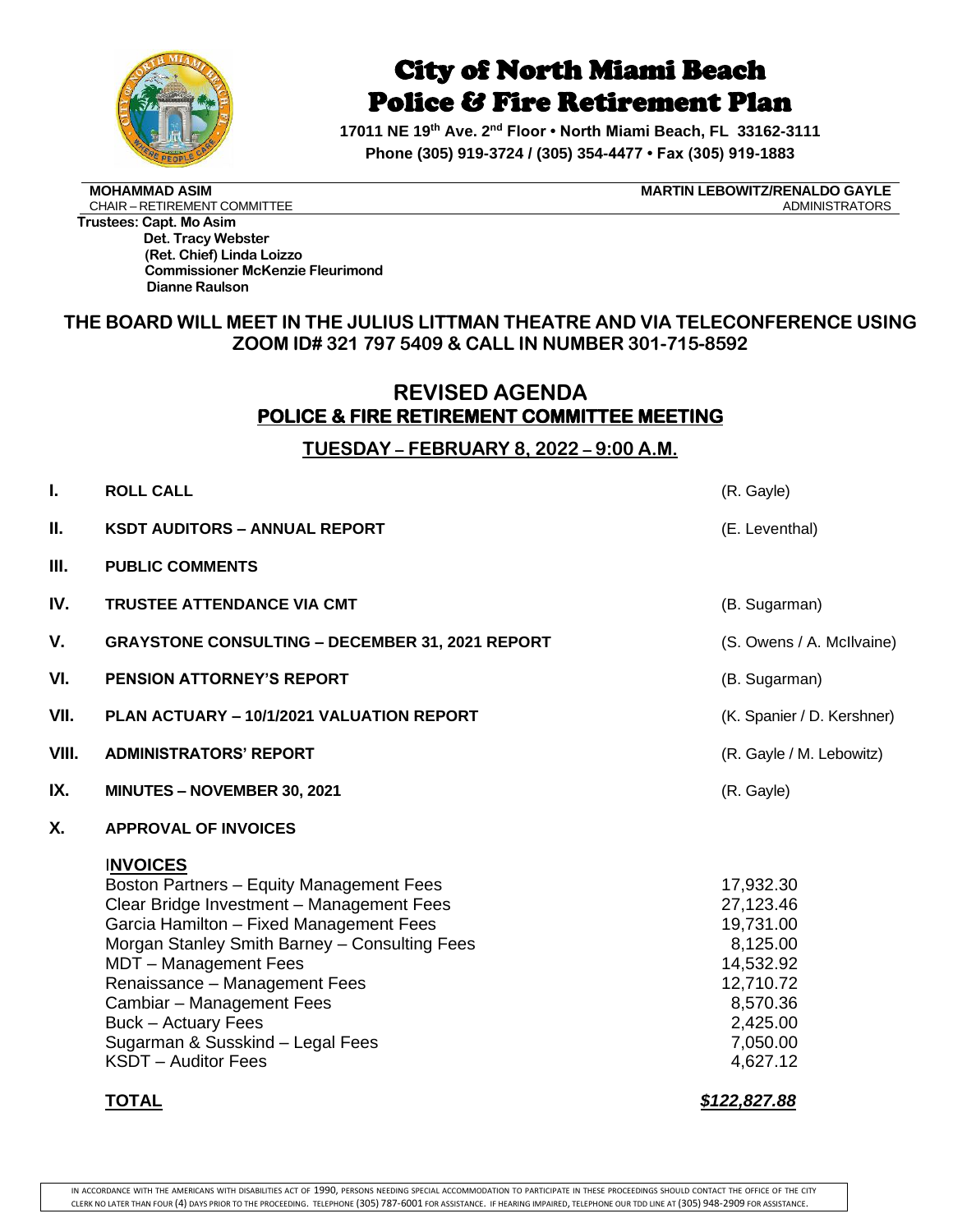

# City of North Miami Beach Police & Fire Retirement Plan

**17011 NE 19th Ave. 2 nd Floor • North Miami Beach, FL 33162-3111 Phone (305) 919-3724 / (305) 354-4477 • Fax (305) 919-1883**

CHAIR – RETIREMENT COMMITTEE

**MOHAMMAD ASIM MARTIN LEBOWITZ/RENALDO GAYLE**

**Trustees: Capt. Mo Asim Det. Tracy Webster (Ret. Chief) Linda Loizzo Commissioner McKenzie Fleurimond Dianne Raulson**

### **THE BOARD WILL MEET IN THE JULIUS LITTMAN THEATRE AND VIA TELECONFERENCE USING ZOOM ID# 321 797 5409 & CALL IN NUMBER 301-715-8592**

### **REVISED AGENDA POLICE & FIRE RETIREMENT COMMITTEE MEETING**

### **TUESDAY – FEBRUARY 8, 2022 – 9:00 A.M.**

| I.    | <b>ROLL CALL</b>                                                                                                                                                                                                                                                                                                                                                                                            | (R. Gayle)                                                                                                                                |
|-------|-------------------------------------------------------------------------------------------------------------------------------------------------------------------------------------------------------------------------------------------------------------------------------------------------------------------------------------------------------------------------------------------------------------|-------------------------------------------------------------------------------------------------------------------------------------------|
| Ш.    | <b>KSDT AUDITORS - ANNUAL REPORT</b>                                                                                                                                                                                                                                                                                                                                                                        | (E. Leventhal)                                                                                                                            |
| Ш.    | <b>PUBLIC COMMENTS</b>                                                                                                                                                                                                                                                                                                                                                                                      |                                                                                                                                           |
| IV.   | <b>TRUSTEE ATTENDANCE VIA CMT</b>                                                                                                                                                                                                                                                                                                                                                                           | (B. Sugarman)                                                                                                                             |
| V.    | <b>GRAYSTONE CONSULTING - DECEMBER 31, 2021 REPORT</b>                                                                                                                                                                                                                                                                                                                                                      | (S. Owens / A. McIlvaine)                                                                                                                 |
| VI.   | PENSION ATTORNEY'S REPORT                                                                                                                                                                                                                                                                                                                                                                                   | (B. Sugarman)                                                                                                                             |
| VII.  | PLAN ACTUARY - 10/1/2021 VALUATION REPORT                                                                                                                                                                                                                                                                                                                                                                   | (K. Spanier / D. Kershner)                                                                                                                |
| VIII. | <b>ADMINISTRATORS' REPORT</b>                                                                                                                                                                                                                                                                                                                                                                               | (R. Gayle / M. Lebowitz)                                                                                                                  |
| IX.   | MINUTES - NOVEMBER 30, 2021                                                                                                                                                                                                                                                                                                                                                                                 | (R. Gayle)                                                                                                                                |
| X.    | <b>APPROVAL OF INVOICES</b>                                                                                                                                                                                                                                                                                                                                                                                 |                                                                                                                                           |
|       | <b>INVOICES</b><br>Boston Partners - Equity Management Fees<br>Clear Bridge Investment - Management Fees<br>Garcia Hamilton - Fixed Management Fees<br>Morgan Stanley Smith Barney - Consulting Fees<br>MDT - Management Fees<br>Renaissance - Management Fees<br>Cambiar - Management Fees<br><b>Buck - Actuary Fees</b><br>Sugarman & Susskind - Legal Fees<br><b>KSDT</b> – Auditor Fees<br><b>TOTAL</b> | 17,932.30<br>27,123.46<br>19,731.00<br>8,125.00<br>14,532.92<br>12,710.72<br>8,570.36<br>2,425.00<br>7,050.00<br>4,627.12<br>\$122,827.88 |
|       |                                                                                                                                                                                                                                                                                                                                                                                                             |                                                                                                                                           |